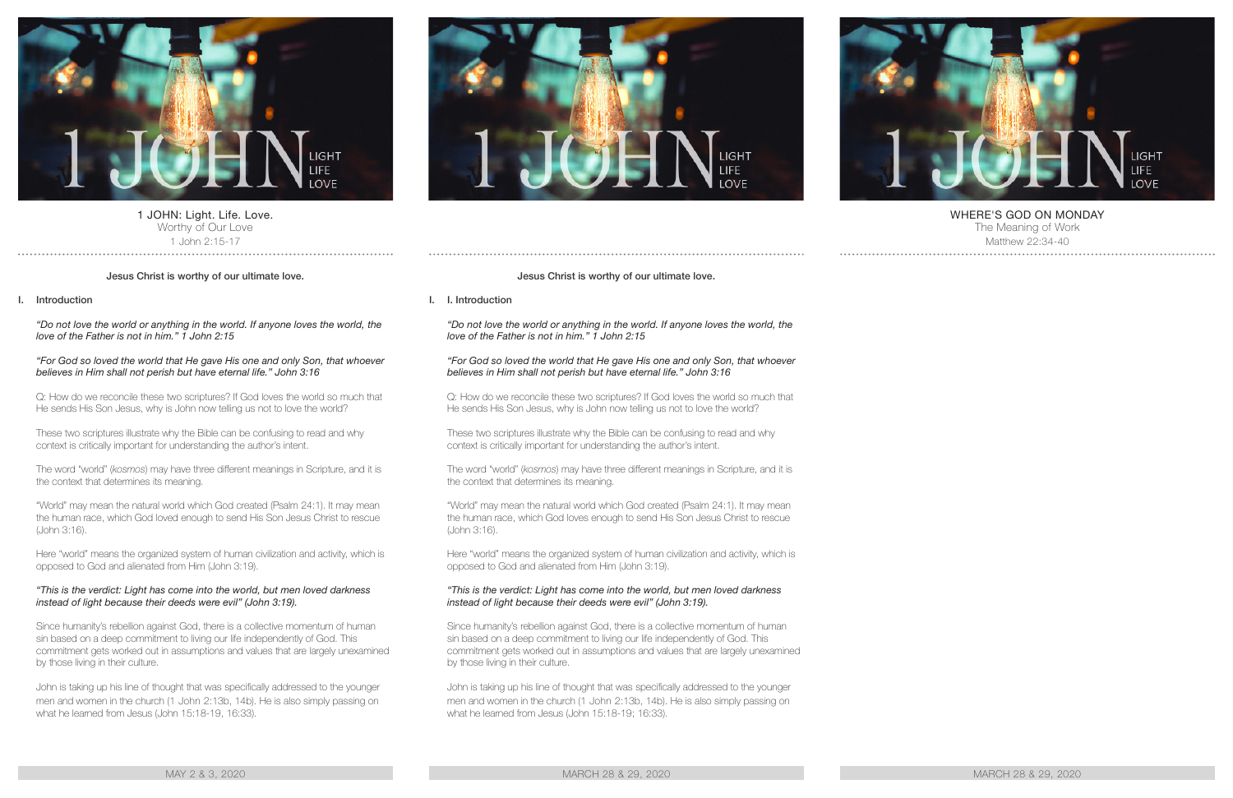

1 JOHN: Light. Life. Love. Worthy of Our Love 1 John 2:15-17

## Jesus Christ is worthy of our ultimate love.

## I. Introduction

*"Do not love the world or anything in the world. If anyone loves the world, the love of the Father is not in him." 1 John 2:15*

#### *"For God so loved the world that He gave His one and only Son, that whoever believes in Him shall not perish but have eternal life." John 3:16*

Q: How do we reconcile these two scriptures? If God loves the world so much that He sends His Son Jesus, why is John now telling us not to love the world?

These two scriptures illustrate why the Bible can be confusing to read and why context is critically important for understanding the author's intent.

The word "world" (*kosmos*) may have three different meanings in Scripture, and it is the context that determines its meaning.

"World" may mean the natural world which God created (Psalm 24:1). It may mean the human race, which God loved enough to send His Son Jesus Christ to rescue (John 3:16).

Here "world" means the organized system of human civilization and activity, which is opposed to God and alienated from Him (John 3:19).

#### *"This is the verdict: Light has come into the world, but men loved darkness instead of light because their deeds were evil" (John 3:19).*

Since humanity's rebellion against God, there is a collective momentum of human sin based on a deep commitment to living our life independently of God. This commitment gets worked out in assumptions and values that are largely unexamined by those living in their culture.

John is taking up his line of thought that was specifically addressed to the younger men and women in the church (1 John 2:13b, 14b). He is also simply passing on what he learned from Jesus (John 15:18-19, 16:33).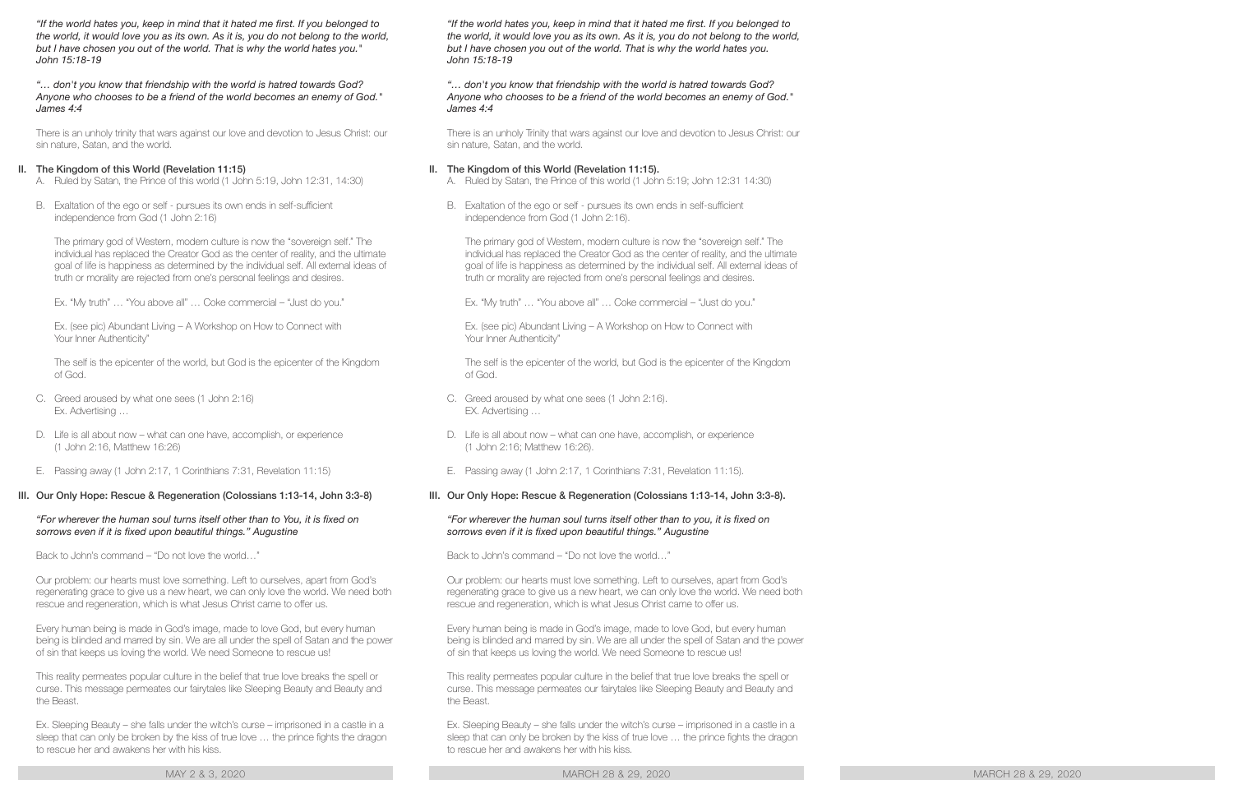*"If the world hates you, keep in mind that it hated me first. If you belonged to*  the world, it would love you as its own. As it is, you do not belong to the world, *but I have chosen you out of the world. That is why the world hates you." John 15:18-19*

## *"… don't you know that friendship with the world is hatred towards God? Anyone who chooses to be a friend of the world becomes an enemy of God." James 4:4*

There is an unholy trinity that wars against our love and devotion to Jesus Christ: our sin nature, Satan, and the world.

## II. The Kingdom of this World (Revelation 11:15)

- A. Ruled by Satan, the Prince of this world (1 John 5:19, John 12:31, 14:30)
- B. Exaltation of the ego or self pursues its own ends in self-sufficient independence from God (1 John 2:16)

The primary god of Western, modern culture is now the "sovereign self." The individual has replaced the Creator God as the center of reality, and the ultimate goal of life is happiness as determined by the individual self. All external ideas of truth or morality are rejected from one's personal feelings and desires.

Ex. "My truth" … "You above all" … Coke commercial – "Just do you."

Ex. (see pic) Abundant Living – A Workshop on How to Connect with Your Inner Authenticity"

The self is the epicenter of the world, but God is the epicenter of the Kingdom of God.

- C. Greed aroused by what one sees (1 John 2:16) Ex. Advertising …
- D. Life is all about now what can one have, accomplish, or experience (1 John 2:16, Matthew 16:26)
- E. Passing away (1 John 2:17, 1 Corinthians 7:31, Revelation 11:15)

## III. Our Only Hope: Rescue & Regeneration (Colossians 1:13-14, John 3:3-8)

## *"For wherever the human soul turns itself other than to You, it is fixed on sorrows even if it is fixed upon beautiful things." Augustine*

Back to John's command – "Do not love the world…"

Our problem: our hearts must love something. Left to ourselves, apart from God's regenerating grace to give us a new heart, we can only love the world. We need both rescue and regeneration, which is what Jesus Christ came to offer us.

Every human being is made in God's image, made to love God, but every human being is blinded and marred by sin. We are all under the spell of Satan and the power of sin that keeps us loving the world. We need Someone to rescue us!

This reality permeates popular culture in the belief that true love breaks the spell or curse. This message permeates our fairytales like Sleeping Beauty and Beauty and the Beast.

Ex. Sleeping Beauty – she falls under the witch's curse – imprisoned in a castle in a sleep that can only be broken by the kiss of true love … the prince fights the dragon to rescue her and awakens her with his kiss.

MAY 2 & 3, 2020 MARCH 28 & 29, 2020